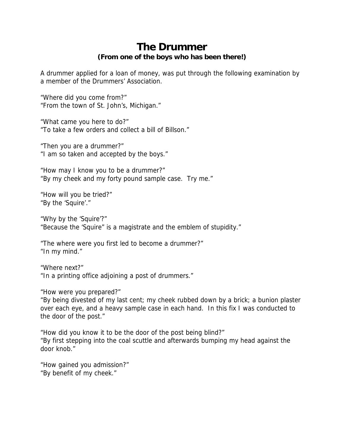## **The Drummer (From one of the boys who has been there!)**

A drummer applied for a loan of money, was put through the following examination by a member of the Drummers' Association.

"Where did you come from?" "From the town of St. John's, Michigan."

"What came you here to do?" "To take a few orders and collect a bill of Billson."

"Then you are a drummer?" "I am so taken and accepted by the boys."

"How may I know you to be a drummer?" "By my cheek and my forty pound sample case. Try me."

"How will you be tried?" "By the 'Squire'."

"Why by the 'Squire'?" "Because the 'Squire" is a magistrate and the emblem of stupidity."

"The where were you first led to become a drummer?" "In my mind."

"Where next?" "In a printing office adjoining a post of drummers."

"How were you prepared?"

"By being divested of my last cent; my cheek rubbed down by a brick; a bunion plaster over each eye, and a heavy sample case in each hand. In this fix I was conducted to the door of the post."

"How did you know it to be the door of the post being blind?" "By first stepping into the coal scuttle and afterwards bumping my head against the door knob."

"How gained you admission?" "By benefit of my cheek."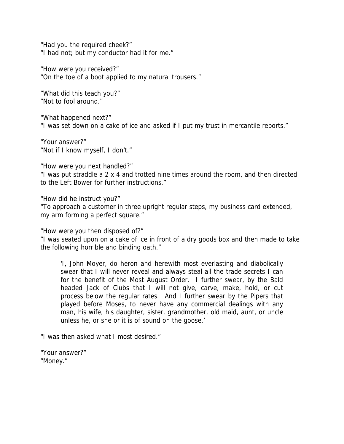"Had you the required cheek?" "I had not; but my conductor had it for me."

"How were you received?" "On the toe of a boot applied to my natural trousers."

"What did this teach you?" "Not to fool around."

"What happened next?" "I was set down on a cake of ice and asked if I put my trust in mercantile reports."

"Your answer?" "Not if I know myself, I don't."

"How were you next handled?"

"I was put straddle a 2 x 4 and trotted nine times around the room, and then directed to the Left Bower for further instructions."

"How did he instruct you?"

"To approach a customer in three upright regular steps, my business card extended, my arm forming a perfect square."

"How were you then disposed of?"

"I was seated upon on a cake of ice in front of a dry goods box and then made to take the following horrible and binding oath."

'I, John Moyer, do heron and herewith most everlasting and diabolically swear that I will never reveal and always steal all the trade secrets I can for the benefit of the Most August Order. I further swear, by the Bald headed Jack of Clubs that I will not give, carve, make, hold, or cut process below the regular rates. And I further swear by the Pipers that played before Moses, to never have any commercial dealings with any man, his wife, his daughter, sister, grandmother, old maid, aunt, or uncle unless he, or she or it is of sound on the goose.'

"I was then asked what I most desired."

"Your answer?" "Money."